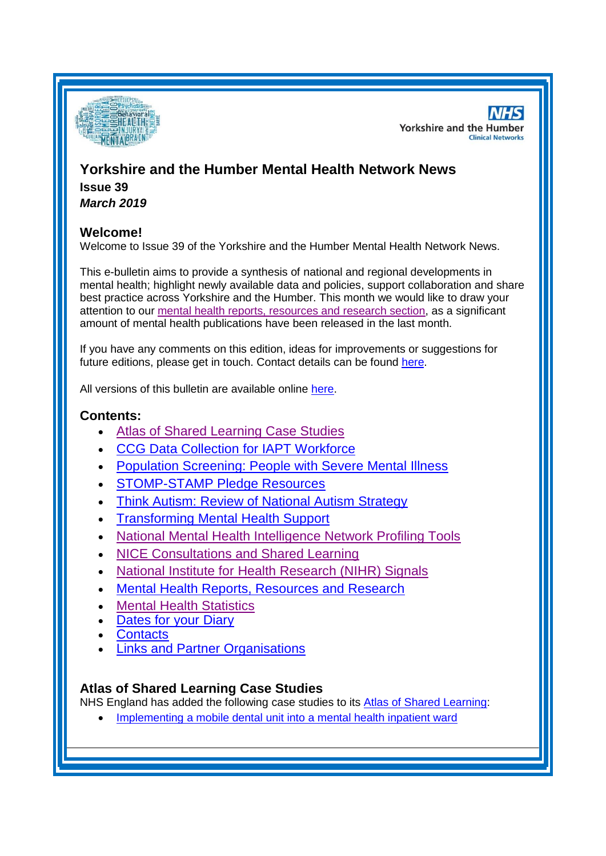

**NHS Yorkshire and the Humber Clinical Networks** 

## **Yorkshire and the Humber Mental Health Network News Issue 39** *March 2019*

# **Welcome!**

Welcome to Issue 39 of the Yorkshire and the Humber Mental Health Network News.

This e-bulletin aims to provide a synthesis of national and regional developments in mental health; highlight newly available data and policies, support collaboration and share best practice across Yorkshire and the Humber. This month we would like to draw your attention to our [mental health reports, resources and research section,](#page-3-0) as a significant amount of mental health publications have been released in the last month.

If you have any comments on this edition, ideas for improvements or suggestions for future editions, please get in touch. Contact details can be found [here.](#page-6-0)

All versions of this bulletin are available online [here.](http://www.yhscn.nhs.uk/mental-health-clinic/mental-health-network/MH-documents-and-links.php)

## **Contents:**

- [Atlas of Shared Learning Case Studies](#page-0-0)
- [CCG Data Collection for IAPT Workforce](#page-1-0)
- [Population Screening: People with Severe Mental Illness](#page-1-1)
- [STOMP-STAMP Pledge Resources](#page-1-2)
- [Think Autism: Review of National Autism Strategy](#page-1-3)
- [Transforming Mental Health Support](#page-1-4)
- [National Mental Health Intelligence Network Profiling Tools](#page-2-0)
- [NICE Consultations and Shared Learning](#page-2-1)
- [National Institute for Health Research \(NIHR\) Signals](#page-2-2)
- [Mental Health Reports, Resources and Research](#page-3-0)
- [Mental Health Statistics](#page-4-0)
- **[Dates for your Diary](#page-4-1)**
- [Contacts](#page-6-0)
- **[Links and Partner Organisations](#page-6-1)**

## <span id="page-0-0"></span>**Atlas of Shared Learning Case Studies**

NHS England has added the following case studies to its [Atlas of Shared Learning:](https://www.england.nhs.uk/leadingchange/atlas-of-shared-learning/)

• [Implementing a mobile dental unit into a mental health inpatient ward](https://www.england.nhs.uk/atlas_case_study/implementing-a-mobile-dental-unit-into-a-mental-health-inpatient-ward/)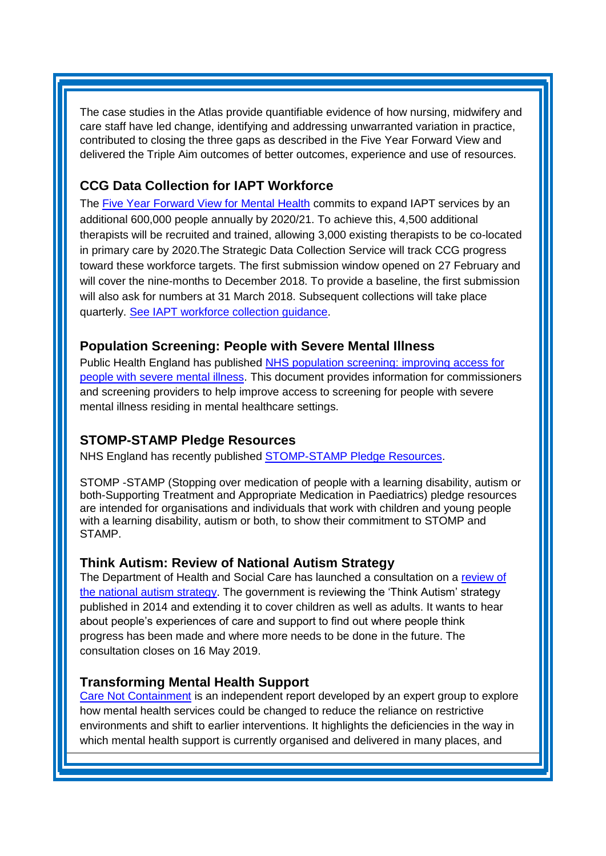The case studies in the Atlas provide quantifiable evidence of how nursing, midwifery and care staff have led change, identifying and addressing unwarranted variation in practice, contributed to closing the three gaps as described in the Five Year Forward View and delivered the Triple Aim outcomes of better outcomes, experience and use of resources.

## <span id="page-1-0"></span>**CCG Data Collection for IAPT Workforce**

The [Five Year Forward View for Mental Health](https://ccgbulletin.cmail20.com/t/d-l-plimhl-cdyegjt-e/) commits to expand IAPT services by an additional 600,000 people annually by 2020/21. To achieve this, 4,500 additional therapists will be recruited and trained, allowing 3,000 existing therapists to be co-located in primary care by 2020.The Strategic Data Collection Service will track CCG progress toward these workforce targets. The first submission window opened on 27 February and will cover the nine-months to December 2018. To provide a baseline, the first submission will also ask for numbers at 31 March 2018. Subsequent collections will take place quarterly. [See IAPT workforce collection guidance.](https://ccgbulletin.cmail20.com/t/d-l-plimhl-cdyegjt-s/)

#### <span id="page-1-1"></span>**Population Screening: People with Severe Mental Illness**

Public Health England has published [NHS population screening: improving access for](https://www.gov.uk/government/publications/population-screening-access-for-people-with-severe-mental-illness)  [people with severe mental illness.](https://www.gov.uk/government/publications/population-screening-access-for-people-with-severe-mental-illness) This document provides information for commissioners and screening providers to help improve access to screening for people with severe mental illness residing in mental healthcare settings.

## <span id="page-1-2"></span>**STOMP-STAMP Pledge Resources**

NHS England has recently published [STOMP-STAMP Pledge Resources.](https://www.england.nhs.uk/publication/stomp-stamp-pledge-resources/)

STOMP -STAMP (Stopping over medication of people with a learning disability, autism or both-Supporting Treatment and Appropriate Medication in Paediatrics) pledge resources are intended for organisations and individuals that work with children and young people with a learning disability, autism or both, to show their commitment to STOMP and STAMP.

#### <span id="page-1-3"></span>**Think Autism: Review of National Autism Strategy**

The Department of Health and Social Care has launched a consultation on a [review of](https://consultations.dh.gov.uk/autism/2e4ae18d/)  [the national autism strategy.](https://consultations.dh.gov.uk/autism/2e4ae18d/) The government is reviewing the 'Think Autism' strategy published in 2014 and extending it to cover children as well as adults. It wants to hear about people's experiences of care and support to find out where people think progress has been made and where more needs to be done in the future. The consultation closes on 16 May 2019.

#### <span id="page-1-4"></span>**Transforming Mental Health Support**

[Care Not Containment](https://www.centreformentalhealth.org.uk/news/care-not-containment-setting-radical-vision-transforming-mental-health-support) is an independent report developed by an expert group to explore how mental health services could be changed to reduce the reliance on restrictive environments and shift to earlier interventions. It highlights the deficiencies in the way in which mental health support is currently organised and delivered in many places, and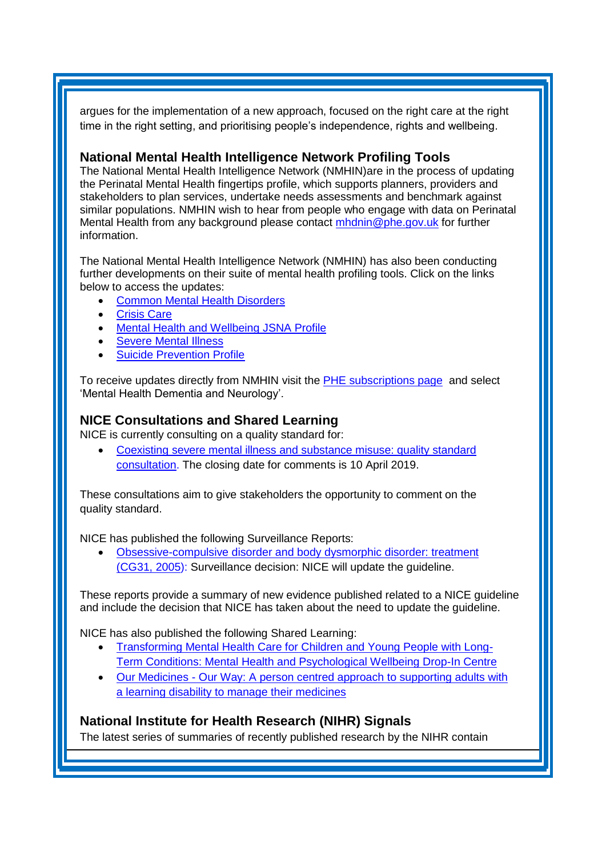argues for the implementation of a new approach, focused on the right care at the right time in the right setting, and prioritising people's independence, rights and wellbeing.

### <span id="page-2-0"></span>**National Mental Health Intelligence Network Profiling Tools**

The National Mental Health Intelligence Network (NMHIN)are in the process of updating the Perinatal Mental Health fingertips profile, which supports planners, providers and stakeholders to plan services, undertake needs assessments and benchmark against similar populations. NMHIN wish to hear from people who engage with data on Perinatal Mental Health from any background please contact [mhdnin@phe.gov.uk](mailto:mhdnin@phe.gov.uk) for further information.

The National Mental Health Intelligence Network (NMHIN) has also been conducting further developments on their suite of mental health profiling tools. Click on the links below to access the updates:

- [Common Mental Health Disorders](http://links.govdelivery.com/track?type=click&enid=ZWFzPTEmbXNpZD0mYXVpZD0mbWFpbGluZ2lkPTIwMTcxMjA1LjgxOTE2MDgxJm1lc3NhZ2VpZD1NREItUFJELUJVTC0yMDE3MTIwNS44MTkxNjA4MSZkYXRhYmFzZWlkPTEwMDEmc2VyaWFsPTE2OTcwMTE4JmVtYWlsaWQ9c2FyYWguYm91bEBuaHMubmV0JnVzZXJpZD1zYXJhaC5ib3VsQG5ocy5uZXQmdGFyZ2V0aWQ9JmZsPSZleHRyYT1NdWx0aXZhcmlhdGVJZD0mJiY=&&&104&&&https://fingertips.phe.org.uk/profile-group/mental-health/profile/common-mental-disorders)
- [Crisis Care](http://links.govdelivery.com/track?type=click&enid=ZWFzPTEmbXNpZD0mYXVpZD0mbWFpbGluZ2lkPTIwMTcxMjA1LjgxOTE2MDgxJm1lc3NhZ2VpZD1NREItUFJELUJVTC0yMDE3MTIwNS44MTkxNjA4MSZkYXRhYmFzZWlkPTEwMDEmc2VyaWFsPTE2OTcwMTE4JmVtYWlsaWQ9c2FyYWguYm91bEBuaHMubmV0JnVzZXJpZD1zYXJhaC5ib3VsQG5ocy5uZXQmdGFyZ2V0aWQ9JmZsPSZleHRyYT1NdWx0aXZhcmlhdGVJZD0mJiY=&&&105&&&https://fingertips.phe.org.uk/profile-group/mental-health/profile/crisis-care)
- **[Mental Health and Wellbeing JSNA Profile](http://links.govdelivery.com/track?type=click&enid=ZWFzPTEmbXNpZD0mYXVpZD0mbWFpbGluZ2lkPTIwMTcxMjA1LjgxOTE2MDgxJm1lc3NhZ2VpZD1NREItUFJELUJVTC0yMDE3MTIwNS44MTkxNjA4MSZkYXRhYmFzZWlkPTEwMDEmc2VyaWFsPTE2OTcwMTE4JmVtYWlsaWQ9c2FyYWguYm91bEBuaHMubmV0JnVzZXJpZD1zYXJhaC5ib3VsQG5ocy5uZXQmdGFyZ2V0aWQ9JmZsPSZleHRyYT1NdWx0aXZhcmlhdGVJZD0mJiY=&&&106&&&https://fingertips.phe.org.uk/profile-group/mental-health/profile/mh-jsna)**
- **[Severe Mental Illness](http://links.govdelivery.com/track?type=click&enid=ZWFzPTEmbXNpZD0mYXVpZD0mbWFpbGluZ2lkPTIwMTcxMjA1LjgxOTE2MDgxJm1lc3NhZ2VpZD1NREItUFJELUJVTC0yMDE3MTIwNS44MTkxNjA4MSZkYXRhYmFzZWlkPTEwMDEmc2VyaWFsPTE2OTcwMTE4JmVtYWlsaWQ9c2FyYWguYm91bEBuaHMubmV0JnVzZXJpZD1zYXJhaC5ib3VsQG5ocy5uZXQmdGFyZ2V0aWQ9JmZsPSZleHRyYT1NdWx0aXZhcmlhdGVJZD0mJiY=&&&108&&&https://fingertips.phe.org.uk/profile-group/mental-health/profile/severe-mental-illness)**
- **[Suicide Prevention Profile](http://links.govdelivery.com/track?type=click&enid=ZWFzPTEmbXNpZD0mYXVpZD0mbWFpbGluZ2lkPTIwMTgwNjA1LjkwNzEwNzExJm1lc3NhZ2VpZD1NREItUFJELUJVTC0yMDE4MDYwNS45MDcxMDcxMSZkYXRhYmFzZWlkPTEwMDEmc2VyaWFsPTE3MDEzODU4JmVtYWlsaWQ9c2FyYWguYm91bEBuaHMubmV0JnVzZXJpZD1zYXJhaC5ib3VsQG5ocy5uZXQmdGFyZ2V0aWQ9JmZsPSZleHRyYT1NdWx0aXZhcmlhdGVJZD0mJiY=&&&104&&&https://fingertips.phe.org.uk/profile-group/mental-health/profile/suicide)**

To receive updates directly from NMHIN visit the [PHE subscriptions page](http://links.govdelivery.com/track?type=click&enid=ZWFzPTEmbXNpZD0mYXVpZD0mbWFpbGluZ2lkPTIwMTgwMjA3Ljg0OTY1MzgxJm1lc3NhZ2VpZD1NREItUFJELUJVTC0yMDE4MDIwNy44NDk2NTM4MSZkYXRhYmFzZWlkPTEwMDEmc2VyaWFsPTE2OTgzNDk5JmVtYWlsaWQ9c2FyYWguYm91bEBuaHMubmV0JnVzZXJpZD1zYXJhaC5ib3VsQG5ocy5uZXQmdGFyZ2V0aWQ9JmZsPSZleHRyYT1NdWx0aXZhcmlhdGVJZD0mJiY=&&&107&&&https://public.govdelivery.com/accounts/UKHPA/subscribers/new?preferences=true) and select 'Mental Health Dementia and Neurology'.

## <span id="page-2-1"></span>**NICE Consultations and Shared Learning**

NICE is currently consulting on a quality standard for:

• [Coexisting severe mental illness and substance misuse: quality standard](https://www.nice.org.uk/guidance/indevelopment/gid-qs10078/consultation/html-content-2)  [consultation.](https://www.nice.org.uk/guidance/indevelopment/gid-qs10078/consultation/html-content-2) The closing date for comments is 10 April 2019.

These consultations aim to give stakeholders the opportunity to comment on the quality standard.

NICE has published the following Surveillance Reports:

• [Obsessive-compulsive disorder and body dysmorphic disorder: treatment](https://www.nice.org.uk/guidance/cg31/resources/2019-surveillance-of-obsessivecompulsive-disorder-and-body-dysmorphic-disorder-treatment-nice-guideline-cg31-6713804845/chapter/Surveillance-decision?tab=evidence&utm_source=Surveillance+report+alerts&utm_campaign=629e98b60f-EMAIL_CAMPAIGN_2019_03_08_09_31&utm_medium=email&utm_term=0_e232b91fb2-629e98b60f-169540553)  [\(CG31, 2005\)](https://www.nice.org.uk/guidance/cg31/resources/2019-surveillance-of-obsessivecompulsive-disorder-and-body-dysmorphic-disorder-treatment-nice-guideline-cg31-6713804845/chapter/Surveillance-decision?tab=evidence&utm_source=Surveillance+report+alerts&utm_campaign=629e98b60f-EMAIL_CAMPAIGN_2019_03_08_09_31&utm_medium=email&utm_term=0_e232b91fb2-629e98b60f-169540553): Surveillance decision: NICE will update the guideline.

These reports provide a summary of new evidence published related to a NICE guideline and include the decision that NICE has taken about the need to update the guideline.

NICE has also published the following Shared Learning:

- [Transforming Mental Health Care for Children and Young People with Long-](https://www.nice.org.uk/sharedlearning/transforming-mental-health-care-for-children-and-young-people-with-long-term-conditions-mental-health-and-psychological-wellbeing-drop-in-centre)[Term Conditions: Mental Health and Psychological Wellbeing Drop-In Centre](https://www.nice.org.uk/sharedlearning/transforming-mental-health-care-for-children-and-young-people-with-long-term-conditions-mental-health-and-psychological-wellbeing-drop-in-centre)
- Our Medicines [Our Way: A person centred approach to supporting adults with](https://www.nice.org.uk/sharedlearning/our-medicines-our-way-a-person-centred-approach-to-supporting-adults-with-a-learning-disability-to-manage-their-medicines)  [a learning disability to manage their medicines](https://www.nice.org.uk/sharedlearning/our-medicines-our-way-a-person-centred-approach-to-supporting-adults-with-a-learning-disability-to-manage-their-medicines)

## <span id="page-2-2"></span>**National Institute for Health Research (NIHR) Signals**

The latest series of summaries of recently published research by the NIHR contain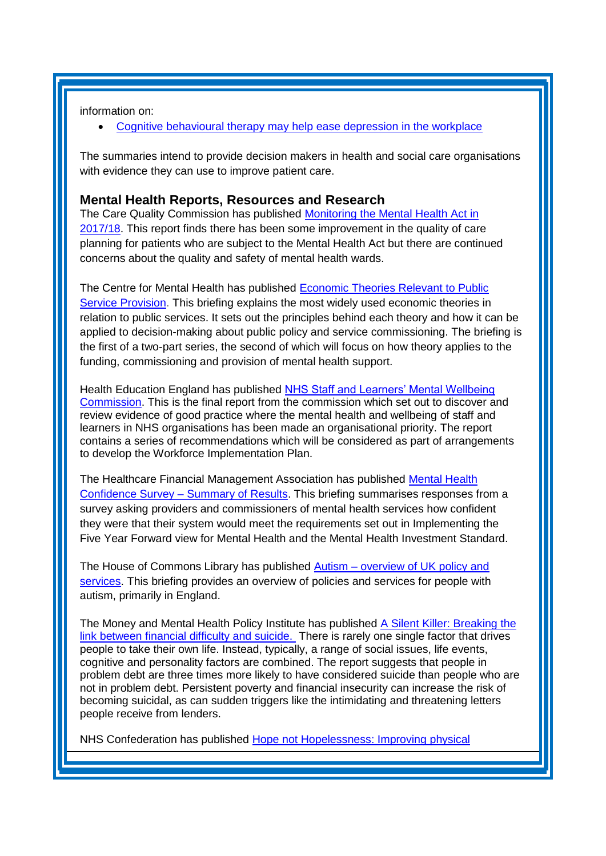information on:

[Cognitive behavioural therapy may help ease depression in the workplace](https://discover.dc.nihr.ac.uk/content/signal-000747/cognitive-behavioural-therapy-may-help-ease-depression-in-the-workplace)

The summaries intend to provide decision makers in health and social care organisations with evidence they can use to improve patient care.

#### <span id="page-3-0"></span>**Mental Health Reports, Resources and Research**

The Care Quality Commission has published Monitoring the Mental Health Act in [2017/18.](https://www.cqc.org.uk/publications/major-report/monitoring-mental-health-act-report) This report finds there has been some improvement in the quality of care planning for patients who are subject to the Mental Health Act but there are continued concerns about the quality and safety of mental health wards.

The Centre for Mental Health has published [Economic Theories Relevant to Public](https://www.centreformentalhealth.org.uk/economic-public-service-provision)  [Service Provision.](https://www.centreformentalhealth.org.uk/economic-public-service-provision) This briefing explains the most widely used economic theories in relation to public services. It sets out the principles behind each theory and how it can be applied to decision-making about public policy and service commissioning. The briefing is the first of a two-part series, the second of which will focus on how theory applies to the funding, commissioning and provision of mental health support.

Health Education England has published NHS Staff and Learners' Mental Wellbeing [Commission.](https://www.hee.nhs.uk/our-work/mental-wellbeing-report) This is the final report from the commission which set out to discover and review evidence of good practice where the mental health and wellbeing of staff and learners in NHS organisations has been made an organisational priority. The report contains a series of recommendations which will be considered as part of arrangements to develop the Workforce Implementation Plan.

The Healthcare Financial Management Association has published [Mental Health](https://www.hfma.org.uk/publications/details/mental-health-confidence-survey-summary-of-results)  [Confidence Survey –](https://www.hfma.org.uk/publications/details/mental-health-confidence-survey-summary-of-results) Summary of Results. This briefing summarises responses from a survey asking providers and commissioners of mental health services how confident they were that their system would meet the requirements set out in Implementing the Five Year Forward view for Mental Health and the Mental Health Investment Standard.

The House of Commons Library has published Autism – [overview of UK policy and](https://researchbriefings.parliament.uk/ResearchBriefing/Summary/CBP-7172)  [services.](https://researchbriefings.parliament.uk/ResearchBriefing/Summary/CBP-7172) This briefing provides an overview of policies and services for people with autism, primarily in England.

The Money and Mental Health Policy Institute has published [A Silent Killer: Breaking the](https://www.moneyandmentalhealth.org/wp-content/uploads/2018/12/A-Silent-Killer-Report.pdf)  [link between financial difficulty and suicide.](https://www.moneyandmentalhealth.org/wp-content/uploads/2018/12/A-Silent-Killer-Report.pdf) There is rarely one single factor that drives people to take their own life. Instead, typically, a range of social issues, life events, cognitive and personality factors are combined. The report suggests that people in problem debt are three times more likely to have considered suicide than people who are not in problem debt. Persistent poverty and financial insecurity can increase the risk of becoming suicidal, as can sudden triggers like the intimidating and threatening letters people receive from lenders.

NHS Confederation has published [Hope not Hopelessness: Improving physical](https://www.nhsconfed.org/blog/2019/02/hope-not-hopelessness-improving-physical-healthcare-for-individuals-with-severe-mental-illness)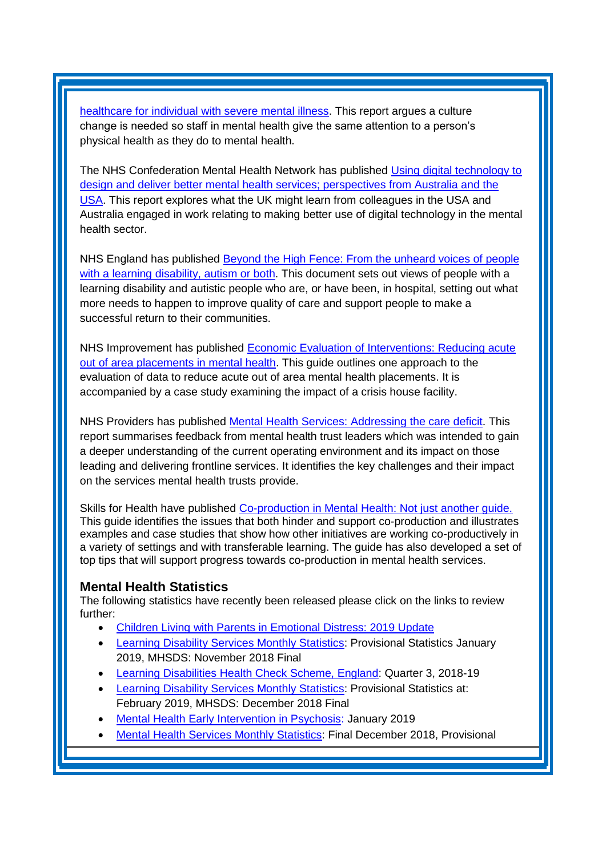healthcare for individual [with severe mental illness.](https://www.nhsconfed.org/blog/2019/02/hope-not-hopelessness-improving-physical-healthcare-for-individuals-with-severe-mental-illness) This report argues a culture change is needed so staff in mental health give the same attention to a person's physical health as they do to mental health.

The NHS Confederation Mental Health Network has published Using digital technology to [design and deliver better mental health services; perspectives from Australia and the](https://www.nhsconfed.org/resources/2019/03/using-digital-technology-to-design-and-deliver-better-mental-health-services)  [USA.](https://www.nhsconfed.org/resources/2019/03/using-digital-technology-to-design-and-deliver-better-mental-health-services) This report explores what the UK might learn from colleagues in the USA and Australia engaged in work relating to making better use of digital technology in the mental health sector.

NHS England has published [Beyond the High Fence: From the unheard voices of people](https://www.england.nhs.uk/publication/beyond-the-high-fence/)  [with a learning disability, autism or both.](https://www.england.nhs.uk/publication/beyond-the-high-fence/) This document sets out views of people with a learning disability and autistic people who are, or have been, in hospital, setting out what more needs to happen to improve quality of care and support people to make a successful return to their communities.

NHS Improvement has published [Economic Evaluation of Interventions: Reducing acute](https://improvement.nhs.uk/resources/economic-evaluation-interventions-reducing-acute-out-area-placements-mental-health/)  [out of area placements in mental health.](https://improvement.nhs.uk/resources/economic-evaluation-interventions-reducing-acute-out-area-placements-mental-health/) This guide outlines one approach to the evaluation of data to reduce acute out of area mental health placements. It is accompanied by a case study examining the impact of a crisis house facility.

NHS Providers has published [Mental Health Services: Addressing the care deficit.](https://nhsproviders.org/mental-health-services-addressing-the-care-deficit) This report summarises feedback from mental health trust leaders which was intended to gain a deeper understanding of the current operating environment and its impact on those leading and delivering frontline services. It identifies the key challenges and their impact on the services mental health trusts provide.

Skills for Health have published Co-production in Mental Health: Not just another quide. This guide identifies the issues that both hinder and support co-production and illustrates examples and case studies that show how other initiatives are working co-productively in a variety of settings and with transferable learning. The guide has also developed a set of top tips that will support progress towards co-production in mental health services.

#### <span id="page-4-0"></span>**Mental Health Statistics**

The following statistics have recently been released please click on the links to review further:

- <span id="page-4-1"></span>• Children [Living with Parents in Emotional Distress: 2019 Update](https://www.gov.uk/government/statistics/children-living-with-parents-in-emotional-distress-2019-update)
- [Learning Disability Services Monthly Statistics:](https://digital.nhs.uk/data-and-information/publications/statistical/learning-disability-services-statistics/provisional-statistics-at-january-2019-mhsds-november-2018-final) Provisional Statistics January 2019, MHSDS: November 2018 Final
- [Learning Disabilities Health Check Scheme, England:](https://digital.nhs.uk/data-and-information/publications/statistical/learning-disabilities-health-check-scheme/england-quarter-3-2018-19) Quarter 3, 2018-19
- [Learning Disability Services Monthly Statistics:](https://digital.nhs.uk/data-and-information/publications/statistical/learning-disability-services-statistics/provisional-statistics-at-february-2019-mhsds-december-2018-final) Provisional Statistics at: February 2019, MHSDS: December 2018 Final
- [Mental Health Early Intervention in Psychosis:](https://www.england.nhs.uk/statistics/statistical-work-areas/eip-waiting-times/) January 2019
- [Mental Health Services Monthly Statistics:](https://digital.nhs.uk/data-and-information/publications/statistical/mental-health-services-monthly-statistics/final-december-2018-provisional-january-2019) Final December 2018, Provisional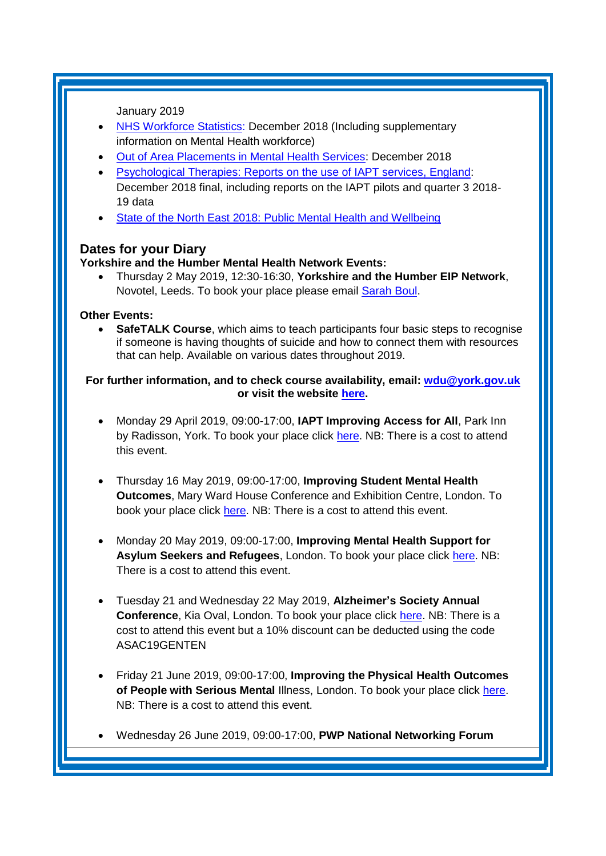January 2019

- [NHS Workforce Statistics:](https://digital.nhs.uk/data-and-information/publications/statistical/nhs-workforce-statistics/december-2018) December 2018 (Including supplementary information on Mental Health workforce)
- [Out of Area Placements in Mental Health Services:](https://digital.nhs.uk/data-and-information/publications/statistical/out-of-area-placements-in-mental-health-services/december-2018) December 2018
- [Psychological Therapies: Reports on the use of IAPT services, England:](https://digital.nhs.uk/data-and-information/publications/statistical/psychological-therapies-report-on-the-use-of-iapt-services/december-2018-final-including-reports-on-the-iapt-pilots-and-quarter-3-2018-19) December 2018 final, including reports on the IAPT pilots and quarter 3 2018- 19 data
- [State of the North East 2018: Public Mental Health and Wellbeing](https://www.gov.uk/government/publications/state-of-the-north-east-2018-public-mental-health-and-wellbeing)

## **Dates for your Diary**

#### **Yorkshire and the Humber Mental Health Network Events:**

• Thursday 2 May 2019, 12:30-16:30, **Yorkshire and the Humber EIP Network**, Novotel, Leeds. To book your place please email [Sarah Boul.](mailto:sarah.boul@nhs.net)

#### **Other Events:**

**SafeTALK Course**, which aims to teach participants four basic steps to recognise if someone is having thoughts of suicide and how to connect them with resources that can help. Available on various dates throughout 2019.

#### **For further information, and to check course availability, email: [wdu@york.gov.uk](mailto:wdu@york.gov.uk) or visit the website [here.](http://www.yorkworkforcedevelopment.org.uk/)**

- Monday 29 April 2019, 09:00-17:00, **IAPT Improving Access for All**, Park Inn by Radisson, York. To book your place click [here.](http://www.iapt-nnf.co.uk/booking/index/105/?utm_source=SBK%20Healthcare&utm_medium=email&utm_campaign=10129413_1932PT%201st%20email&dm_i=1SB0,613WL,MCTTTA,NNC6M,1) NB: There is a cost to attend this event.
- Thursday 16 May 2019, 09:00-17:00, **Improving Student Mental Health Outcomes**, Mary Ward House Conference and Exhibition Centre, London. To book your place click [here.](https://openforumevents.co.uk/events/2019/improving-student-mental-health-outcomes/#book?utm_source=OFE+S3.1+ISMHO19+BOOST+27.02.2019&utm_medium=email&utm_campaign=OFE+S3.1+ISMHO19+BOOST+27.02.2019) NB: There is a cost to attend this event.
- Monday 20 May 2019, 09:00-17:00, **Improving Mental Health Support for Asylum Seekers and Refugees**, London. To book your place click [here.](https://www.healthcareconferencesuk.co.uk/event/1209/book) NB: There is a cost to attend this event.
- Tuesday 21 and Wednesday 22 May 2019, **Alzheimer's Society Annual Conference**, Kia Oval, London. To book your place click [here.](https://www.cvent.com/events/alzheimer-s-society-annual-conference-2019/registration-7da8e58beb5b4189b0d4c3eb6534efd0.aspx?_ga=2.181597159.1797356724.1553617165-1198774166.1553617165&fqp=true) NB: There is a cost to attend this event but a 10% discount can be deducted using the code ASAC19GENTEN
- Friday 21 June 2019, 09:00-17:00, **Improving the Physical Health Outcomes of People with Serious Mental** Illness, London. To book your place click [here.](https://www.healthcareconferencesuk.co.uk/event/1391/book) NB: There is a cost to attend this event.
- Wednesday 26 June 2019, 09:00-17:00, **PWP National Networking Forum**